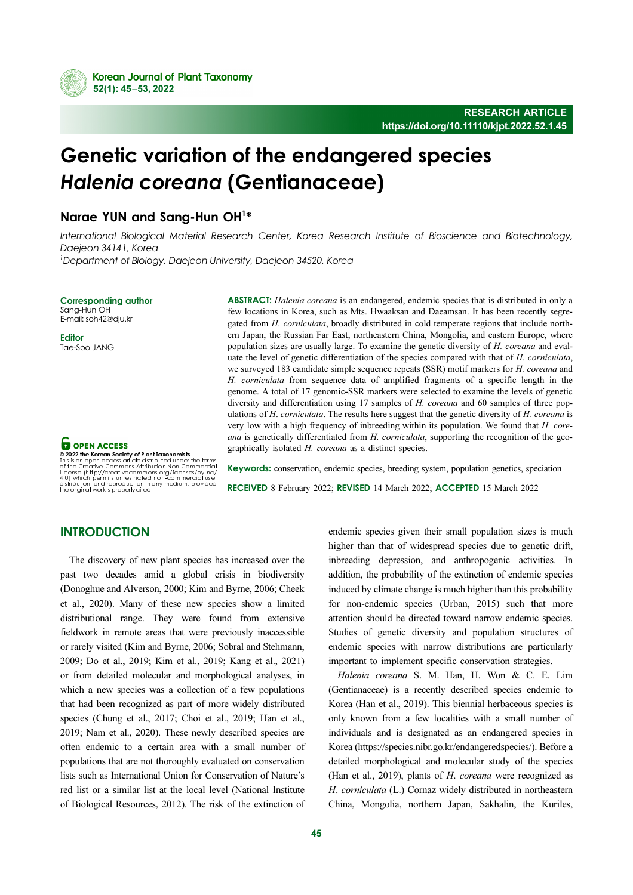

# Genetic variation of the endangered species Halenia coreana (Gentianaceae)

# Narae YUN and Sang-Hun OH<sup>1\*</sup>

International Biological Material Research Center, Korea Research Institute of Bioscience and Biotechnology, Daejeon 34141, Korea 1 Department of Biology, Daejeon University, Daejeon 34520, Korea

Corresponding author

Sang-Hun OH E-mail: soh42@dju.kr

**Editor** Tae-Soo JANG

**O** OPEN ACCESS © 2022 the Korean Society of Plant Taxonomists. This is an open-access article distributed under the terms of the Creative Commons Attribution Non-Commercial License (http://creativecommons.org/licenses/by-nc/

4.0) which permits unrestricted non-commercial use, distribution, and reproduction in any medium, provided the original work is properly cited.

ABSTRACT: Halenia coreana is an endangered, endemic species that is distributed in only a few locations in Korea, such as Mts. Hwaaksan and Daeamsan. It has been recently segregated from H. corniculata, broadly distributed in cold temperate regions that include northern Japan, the Russian Far East, northeastern China, Mongolia, and eastern Europe, where population sizes are usually large. To examine the genetic diversity of  $H$ . *coreana* and evaluate the level of genetic differentiation of the species compared with that of H. corniculata, we surveyed 183 candidate simple sequence repeats (SSR) motif markers for H. coreana and H. corniculata from sequence data of amplified fragments of a specific length in the genome. A total of 17 genomic-SSR markers were selected to examine the levels of genetic diversity and differentiation using 17 samples of H. *coreana* and 60 samples of three populations of  $H$ . *corniculata*. The results here suggest that the genetic diversity of  $H$ . *coreana* is very low with a high frequency of inbreeding within its population. We found that H. coreana is genetically differentiated from H. corniculata, supporting the recognition of the geographically isolated H. coreana as a distinct species.

Keywords: conservation, endemic species, breeding system, population genetics, speciation RECEIVED 8 February 2022; REVISED 14 March 2022; ACCEPTED 15 March 2022

# **INTRODUCTION**

The discovery of new plant species has increased over the past two decades amid a global crisis in biodiversity (Donoghue and Alverson, 2000; Kim and Byrne, 2006; Cheek et al., 2020). Many of these new species show a limited distributional range. They were found from extensive fieldwork in remote areas that were previously inaccessible or rarely visited (Kim and Byrne, 2006; Sobral and Stehmann, 2009; Do et al., 2019; Kim et al., 2019; Kang et al., 2021) or from detailed molecular and morphological analyses, in which a new species was a collection of a few populations that had been recognized as part of more widely distributed species (Chung et al., 2017; Choi et al., 2019; Han et al., 2019; Nam et al., 2020). These newly described species are often endemic to a certain area with a small number of populations that are not thoroughly evaluated on conservation lists such as International Union for Conservation of Nature's red list or a similar list at the local level (National Institute of Biological Resources, 2012). The risk of the extinction of endemic species given their small population sizes is much higher than that of widespread species due to genetic drift, inbreeding depression, and anthropogenic activities. In addition, the probability of the extinction of endemic species induced by climate change is much higher than this probability for non-endemic species (Urban, 2015) such that more attention should be directed toward narrow endemic species. Studies of genetic diversity and population structures of endemic species with narrow distributions are particularly important to implement specific conservation strategies.

Halenia coreana S. M. Han, H. Won & C. E. Lim (Gentianaceae) is a recently described species endemic to Korea (Han et al., 2019). This biennial herbaceous species is only known from a few localities with a small number of individuals and is designated as an endangered species in Korea (https://species.nibr.go.kr/endangeredspecies/). Before a detailed morphological and molecular study of the species (Han et al., 2019), plants of H. coreana were recognized as H. corniculata (L.) Cornaz widely distributed in northeastern China, Mongolia, northern Japan, Sakhalin, the Kuriles,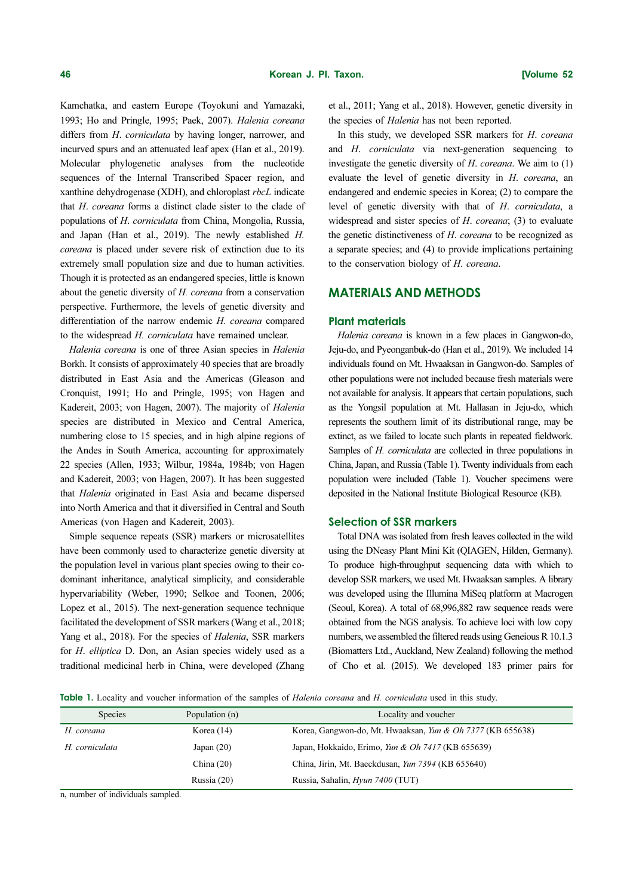Kamchatka, and eastern Europe (Toyokuni and Yamazaki, 1993; Ho and Pringle, 1995; Paek, 2007). Halenia coreana differs from H. corniculata by having longer, narrower, and incurved spurs and an attenuated leaf apex (Han et al., 2019). Molecular phylogenetic analyses from the nucleotide sequences of the Internal Transcribed Spacer region, and xanthine dehydrogenase (XDH), and chloroplast rbcL indicate that H. coreana forms a distinct clade sister to the clade of populations of H. corniculata from China, Mongolia, Russia, and Japan (Han et al., 2019). The newly established H. coreana is placed under severe risk of extinction due to its extremely small population size and due to human activities. Though it is protected as an endangered species, little is known about the genetic diversity of H. coreana from a conservation perspective. Furthermore, the levels of genetic diversity and differentiation of the narrow endemic H. coreana compared to the widespread H. corniculata have remained unclear.

Halenia coreana is one of three Asian species in Halenia Borkh. It consists of approximately 40 species that are broadly distributed in East Asia and the Americas (Gleason and Cronquist, 1991; Ho and Pringle, 1995; von Hagen and Kadereit, 2003; von Hagen, 2007). The majority of Halenia species are distributed in Mexico and Central America, numbering close to 15 species, and in high alpine regions of the Andes in South America, accounting for approximately 22 species (Allen, 1933; Wilbur, 1984a, 1984b; von Hagen and Kadereit, 2003; von Hagen, 2007). It has been suggested that Halenia originated in East Asia and became dispersed into North America and that it diversified in Central and South Americas (von Hagen and Kadereit, 2003).

Simple sequence repeats (SSR) markers or microsatellites have been commonly used to characterize genetic diversity at the population level in various plant species owing to their codominant inheritance, analytical simplicity, and considerable hypervariability (Weber, 1990; Selkoe and Toonen, 2006; Lopez et al., 2015). The next-generation sequence technique facilitated the development of SSR markers (Wang et al., 2018; Yang et al., 2018). For the species of Halenia, SSR markers for H. elliptica D. Don, an Asian species widely used as a traditional medicinal herb in China, were developed (Zhang et al., 2011; Yang et al., 2018). However, genetic diversity in the species of Halenia has not been reported.

In this study, we developed SSR markers for H. coreana and H. corniculata via next-generation sequencing to investigate the genetic diversity of  $H$ . *coreana*. We aim to  $(1)$ evaluate the level of genetic diversity in H. coreana, an endangered and endemic species in Korea; (2) to compare the level of genetic diversity with that of H. corniculata, a widespread and sister species of H. coreana; (3) to evaluate the genetic distinctiveness of H. coreana to be recognized as a separate species; and (4) to provide implications pertaining to the conservation biology of H. coreana.

### MATERIALS AND METHODS

#### Plant materials

Halenia coreana is known in a few places in Gangwon-do, Jeju-do, and Pyeonganbuk-do (Han et al., 2019). We included 14 individuals found on Mt. Hwaaksan in Gangwon-do. Samples of other populations were not included because fresh materials were not available for analysis. It appears that certain populations, such as the Yongsil population at Mt. Hallasan in Jeju-do, which represents the southern limit of its distributional range, may be extinct, as we failed to locate such plants in repeated fieldwork. Samples of *H. corniculata* are collected in three populations in China, Japan, and Russia (Table 1). Twenty individuals from each population were included (Table 1). Voucher specimens were deposited in the National Institute Biological Resource (KB).

#### Selection of SSR markers

Total DNA was isolated from fresh leaves collected in the wild using the DNeasy Plant Mini Kit (QIAGEN, Hilden, Germany). To produce high-throughput sequencing data with which to develop SSR markers, we used Mt. Hwaaksan samples. A library was developed using the Illumina MiSeq platform at Macrogen (Seoul, Korea). A total of 68,996,882 raw sequence reads were obtained from the NGS analysis. To achieve loci with low copy numbers, we assembled the filtered reads using Geneious R 10.1.3 (Biomatters Ltd., Auckland, New Zealand) following the method of Cho et al. (2015). We developed 183 primer pairs for

Table 1. Locality and voucher information of the samples of *Halenia coreana* and *H. corniculata* used in this study.

| <b>Species</b> | Population (n) | Locality and voucher                                       |  |  |  |  |
|----------------|----------------|------------------------------------------------------------|--|--|--|--|
| H. coreana     | Korea $(14)$   | Korea, Gangwon-do, Mt. Hwaaksan, Yun & Oh 7377 (KB 655638) |  |  |  |  |
| H. corniculata | Japan $(20)$   | Japan, Hokkaido, Erimo, Yun & Oh 7417 (KB 655639)          |  |  |  |  |
|                | China $(20)$   | China, Jirin, Mt. Baeckdusan, Yun 7394 (KB 655640)         |  |  |  |  |
|                | Russia (20)    | Russia, Sahalin, <i>Hyun 7400</i> (TUT)                    |  |  |  |  |

n, number of individuals sampled.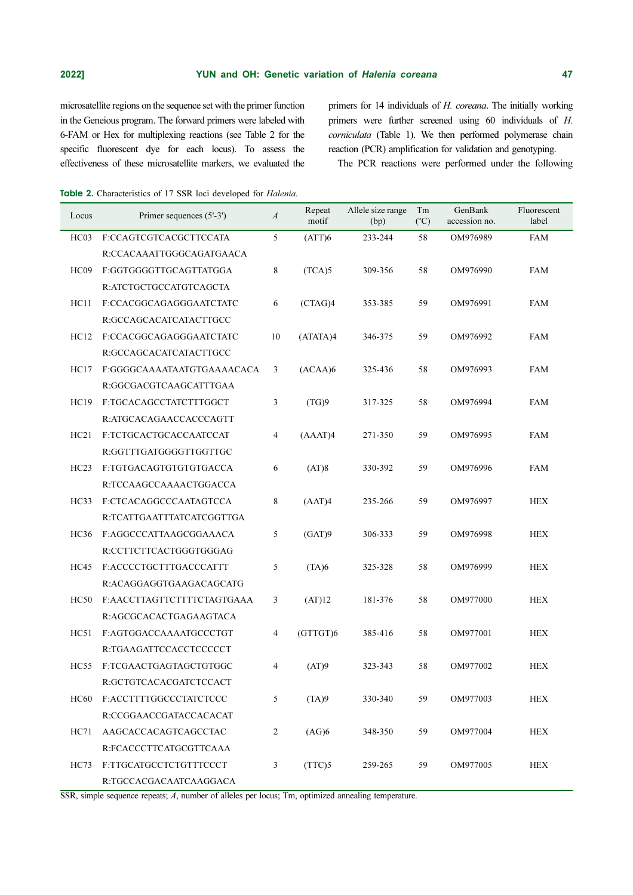microsatellite regions on the sequence set with the primer function in the Geneious program. The forward primers were labeled with 6-FAM or Hex for multiplexing reactions (see Table 2 for the specific fluorescent dye for each locus). To assess the effectiveness of these microsatellite markers, we evaluated the

primers for 14 individuals of H. coreana. The initially working primers were further screened using 60 individuals of H. corniculata (Table 1). We then performed polymerase chain reaction (PCR) amplification for validation and genotyping.

The PCR reactions were performed under the following

Table 2. Characteristics of 17 SSR loci developed for *Halenia*.

| Locus            | Primer sequences (5'-3')   | $\boldsymbol{A}$ | Repeat<br>motif | Allele size range<br>(bp) | Tm<br>$(^{\circ}C)$ | GenBank<br>accession no. | Fluorescent<br>label |
|------------------|----------------------------|------------------|-----------------|---------------------------|---------------------|--------------------------|----------------------|
| HC03             | F:CCAGTCGTCACGCTTCCATA     | 5                | (ATT)6          | 233-244                   | 58                  | OM976989                 | FAM                  |
|                  | R:CCACAAATTGGGCAGATGAACA   |                  |                 |                           |                     |                          |                      |
| HC <sub>09</sub> | F:GGTGGGGTTGCAGTTATGGA     | 8                | (TCA)5          | 309-356                   | 58                  | OM976990                 | <b>FAM</b>           |
|                  | R:ATCTGCTGCCATGTCAGCTA     |                  |                 |                           |                     |                          |                      |
| HC11             | F:CCACGGCAGAGGGAATCTATC    | 6                | (CTAG)4         | 353-385                   | 59                  | OM976991                 | <b>FAM</b>           |
|                  | R:GCCAGCACATCATACTTGCC     |                  |                 |                           |                     |                          |                      |
| HC12             | F:CCACGGCAGAGGGAATCTATC    | 10               | (ATATA)4        | 346-375                   | 59                  | OM976992                 | <b>FAM</b>           |
|                  | R:GCCAGCACATCATACTTGCC     |                  |                 |                           |                     |                          |                      |
| HC17             | F:GGGGCAAAATAATGTGAAAACACA | 3                | (ACAA)6         | 325-436                   | 58                  | OM976993                 | <b>FAM</b>           |
|                  | R:GGCGACGTCAAGCATTTGAA     |                  |                 |                           |                     |                          |                      |
| HC19             | F:TGCACAGCCTATCTTTGGCT     | 3                | (TG)9           | 317-325                   | 58                  | OM976994                 | <b>FAM</b>           |
|                  | R:ATGCACAGAACCACCCAGTT     |                  |                 |                           |                     |                          |                      |
| HC21             | F:TCTGCACTGCACCAATCCAT     | $\overline{4}$   | (AAAT)4         | 271-350                   | 59                  | OM976995                 | <b>FAM</b>           |
|                  | R:GGTTTGATGGGGTTGGTTGC     |                  |                 |                           |                     |                          |                      |
| HC23             | F:TGTGACAGTGTGTGTGACCA     | 6                | (AT)8           | 330-392                   | 59                  | OM976996                 | FAM                  |
|                  | R:TCCAAGCCAAAACTGGACCA     |                  |                 |                           |                     |                          |                      |
| HC33             | F:CTCACAGGCCCAATAGTCCA     | 8                | (AAT)4          | 235-266                   | 59                  | OM976997                 | <b>HEX</b>           |
|                  | R:TCATTGAATTTATCATCGGTTGA  |                  |                 |                           |                     |                          |                      |
| HC36             | F:AGGCCCATTAAGCGGAAACA     | 5                | (GAT)9          | 306-333                   | 59                  | OM976998                 | <b>HEX</b>           |
|                  | R:CCTTCTTCACTGGGTGGGAG     |                  |                 |                           |                     |                          |                      |
| HC45             | F:ACCCCTGCTTTGACCCATTT     | 5                | (TA)6           | 325-328                   | 58                  | OM976999                 | <b>HEX</b>           |
|                  | R:ACAGGAGGTGAAGACAGCATG    |                  |                 |                           |                     |                          |                      |
| <b>HC50</b>      | F:AACCTTAGTTCTTTTCTAGTGAAA | 3                | (AT)12          | 181-376                   | 58                  | OM977000                 | <b>HEX</b>           |
|                  | R:AGCGCACACTGAGAAGTACA     |                  |                 |                           |                     |                          |                      |
| HC51             | F:AGTGGACCAAAATGCCCTGT     | $\overline{4}$   | (GTTGT)6        | 385-416                   | 58                  | OM977001                 | <b>HEX</b>           |
|                  | R:TGAAGATTCCACCTCCCCCT     |                  |                 |                           |                     |                          |                      |
| HC55             | F:TCGAACTGAGTAGCTGTGGC     | 4                | (AT)9           | 323-343                   | 58                  | OM977002                 | <b>HEX</b>           |
|                  | R:GCTGTCACACGATCTCCACT     |                  |                 |                           |                     |                          |                      |
| HC60             | F:ACCTTTTGGCCCTATCTCCC     | 5                | (TA)9           | 330-340                   | 59                  | OM977003                 | <b>HEX</b>           |
|                  | R:CCGGAACCGATACCACACAT     |                  |                 |                           |                     |                          |                      |
| HC71             | AAGCACCACAGTCAGCCTAC       | 2                | (AG)6           | 348-350                   | 59                  | OM977004                 | <b>HEX</b>           |
|                  | R:FCACCCTTCATGCGTTCAAA     |                  |                 |                           |                     |                          |                      |
| HC73             | F:TTGCATGCCTCTGTTTCCCT     | 3                | (TTC)5          | 259-265                   | 59                  | OM977005                 | <b>HEX</b>           |
|                  | R:TGCCACGACAATCAAGGACA     |                  |                 |                           |                     |                          |                      |

SSR, simple sequence repeats; A, number of alleles per locus; Tm, optimized annealing temperature.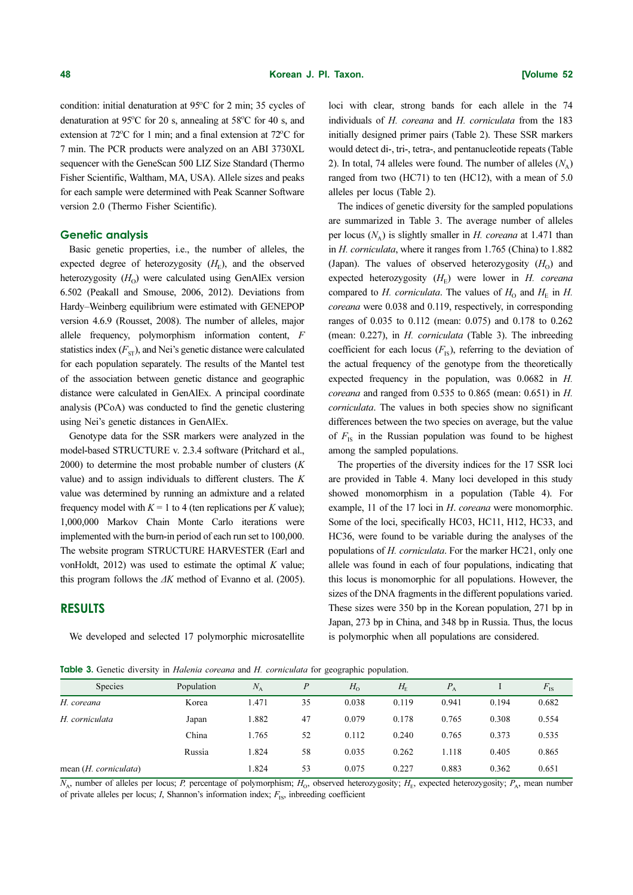**48**<br>condition: initial denaturation at  $95^\circ$ condition: initial denaturation at 95°C for 2 min; 35 cycles of **48**<br>condition: initial denaturation at 95<sup>o</sup> Exercise at 95°C for 2 minutes of  $26^{\circ}$ C for 20 s, annealing at 58° denaturation at 95°C for 20 s, annealing at 58°C for 40 s, and **48**<br>condition: initia<br>denaturation at  $?2^\circ$ C for 1 min; and a final extension at 72o extension at 72°C for 1 min; and a final extension at 72°C for 7 min. The PCR products were analyzed on an ABI 3730XL sequencer with the GeneScan 500 LIZ Size Standard (Thermo Fisher Scientific, Waltham, MA, USA). Allele sizes and peaks for each sample were determined with Peak Scanner Software version 2.0 (Thermo Fisher Scientific). **Expection**<br> **Expection**: initial denaturation at 95°C for 2 min; 35 cycles of<br>
denaturation at 95°C for 20 s, annealing at 58°C for 40 s, and<br>
extension at 72°C for 1 min; and a final extension at 72°C for<br>
7 min. The PC **48**<br> **Korean**<br> **Condition:** initial denaturation at 95°C for 2 min; 35 cycles of<br>
denaturation at 95°C for 20 s, annealing at 58°C for 40 s, and<br>
extension at 72°C for 1 min; and a final extension at 72°C for<br>
7 min. The **48**<br> **Korean**<br> **Korean**<br> **Kondition:** initial denaturation at 95°C for 2 min; 35 cycles of<br> **denaturation at 95°C for 2 0 s, annealing at 58°C for 40 s, and<br>
extension at 72°C for 1 min; and a final extension at 72°C for** 

#### Genetic analysis

Basic genetic properties, i.e., the number of alleles, the expected degree of heterozygosity  $(H<sub>r</sub>)$ , and the observed heterozygosity  $(H<sub>o</sub>)$  were calculated using GenAlEx version 6.502 (Peakall and Smouse, 2006, 2012). Deviations from Hardy–Weinberg equilibrium were estimated with GENEPOP version 4.6.9 (Rousset, 2008). The number of alleles, major allele frequency, polymorphism information content, F statistics index  $(F_{ST})$ , and Nei's genetic distance were calculated for each population separately. The results of the Mantel test of the association between genetic distance and geographic distance were calculated in GenAlEx. A principal coordinate analysis (PCoA) was conducted to find the genetic clustering using Nei's genetic distances in GenAlEx.

Genotype data for the SSR markers were analyzed in the model-based STRUCTURE v. 2.3.4 software (Pritchard et al.,  $2000$ ) to determine the most probable number of clusters  $(K)$ value) and to assign individuals to different clusters. The K value was determined by running an admixture and a related frequency model with  $K = 1$  to 4 (ten replications per K value); 1,000,000 Markov Chain Monte Carlo iterations were implemented with the burn-in period of each run set to 100,000. The website program STRUCTURE HARVESTER (Earl and vonHoldt,  $2012$ ) was used to estimate the optimal K value; this program follows the  $\Delta K$  method of Evanno et al. (2005).

#### RESULTS

We developed and selected 17 polymorphic microsatellite

**7 axon. [Volume 52**]<br>loci with clear, strong bands for each allele in the 74<br>individuals of *H. coreana* and *H. corniculata* from the 183<br>initially designed primer pairs (Table 2). These SSR markers<br>would detect di-, **Faxon. [Volume 52**<br>loci with clear, strong bands for each allele in the 74<br>individuals of *H. coreana* and *H. corniculata* from the 183<br>initially designed primer pairs (Table 2). These SSR markers<br>would detect di-, tr (Japan). **Taxon. Colume 52**<br>
loci with clear, strong bands for each allele in the 74<br>
individuals of *H. coreana* and *H. corniculata* from the 183<br>
initially designed primer pairs (Table 2). These SSR markers<br>
would de **Frame S2**<br> **Example 16.1 Consumers 16.1 Constant Constant Constant Constant Constant Constant Constant Constant Constant Constant Constant Constant Constant Constant Constant Constant Constant Constant Constant Const** loci with clear, strong bands for each allele in the 74 individuals of H. coreana and H. corniculata from the 183 initially designed primer pairs (Table 2). These SSR markers would detect di-, tri-, tetra-, and pentanucleotide repeats (Table 2). In total, 74 alleles were found. The number of alleles  $(N_A)$ ranged from two (HC71) to ten (HC12), with a mean of 5.0 alleles per locus (Table 2).

**Taxon. [Volume 52**<br>loci with clear, strong bands for each allele in the 74<br>individuals of *H. coreana* and *H. corniculata* from the 183<br>initially designed primer pairs (Table 2). These SSR markers<br>would detect di-, tr **Colume 52**<br> **Co** i with clear, strong bands for each allele in the 74<br>
individuals of *H. coreana* and *H. corniculata* from the 183<br>
initially designed primer pairs (Table 2). These SSR markers<br>
would detect di-, tri-, **Taxon. [Volume 52**<br>
loci with clear, strong bands for each allele in the 74<br>
individuals of *H. coreana* and *H. corriculata* from the 183<br>
initially designed primer pairs (Table 2). These SSR markers<br>
would detect di-The indices of genetic diversity for the sampled populations are summarized in Table 3. The average number of alleles per locus ( $N_{\rm A}$ ) is slightly smaller in *H. coreana* at 1.471 than in H. corniculata, where it ranges from 1.765 (China) to 1.882 (Japan). The values of observed heterozygosity  $(H_0)$  and expected heterozygosity  $(H_F)$  were lower in H. coreana compared to *H. corniculata*. The values of  $H_0$  and  $H_F$  in *H.* coreana were 0.038 and 0.119, respectively, in corresponding ranges of 0.035 to 0.112 (mean: 0.075) and 0.178 to 0.262 (mean: 0.227), in H. corniculata (Table 3). The inbreeding coefficient for each locus  $(F_{1S})$ , referring to the deviation of the actual frequency of the genotype from the theoretically expected frequency in the population, was 0.0682 in H. *coreana* and ranged from  $0.535$  to  $0.865$  (mean:  $0.651$ ) in  $H$ . corniculata. The values in both species show no significant differences between the two species on average, but the value of  $F_{1s}$  in the Russian population was found to be highest among the sampled populations.

The properties of the diversity indices for the 17 SSR loci are provided in Table 4. Many loci developed in this study showed monomorphism in a population (Table 4). For example, 11 of the 17 loci in *H. coreana* were monomorphic. Some of the loci, specifically HC03, HC11, H12, HC33, and HC36, were found to be variable during the analyses of the populations of H. corniculata. For the marker HC21, only one allele was found in each of four populations, indicating that this locus is monomorphic for all populations. However, the sizes of the DNA fragments in the different populations varied. These sizes were 350 bp in the Korean population, 271 bp in Japan, 273 bp in China, and 348 bp in Russia. Thus, the locus is polymorphic when all populations are considered.

Table 3. Genetic diversity in *Halenia coreana* and *H. corniculata* for geographic population.

| <b>Species</b>          | Population | $N_{\rm A}$ | P  | $H_0$ | $H_{\scriptscriptstyle\rm E}$ | $P_{A}$ |       | $F_{1S}$ |
|-------------------------|------------|-------------|----|-------|-------------------------------|---------|-------|----------|
| H. coreana              | Korea      | l.471       | 35 | 0.038 | 0.119                         | 0.941   | 0.194 | 0.682    |
| H. corniculata          | Japan      | 1.882       | 47 | 0.079 | 0.178                         | 0.765   | 0.308 | 0.554    |
|                         | China      | 1.765       | 52 | 0.112 | 0.240                         | 0.765   | 0.373 | 0.535    |
|                         | Russia     | 1.824       | 58 | 0.035 | 0.262                         | 1.118   | 0.405 | 0.865    |
| mean $(H.$ corniculata) |            | 1.824       | 53 | 0.075 | 0.227                         | 0.883   | 0.362 | 0.651    |
|                         |            |             |    |       |                               |         |       |          |

 $\overline{N_A}$ , number of alleles per locus; P, percentage of polymorphism;  $H_0$ , observed heterozygosity;  $H_E$ , expected heterozygosity;  $P_A$ , mean number of private alleles per locus;  $I$ , Shannon's information index;  $F_{IS}$ , inbreeding coefficient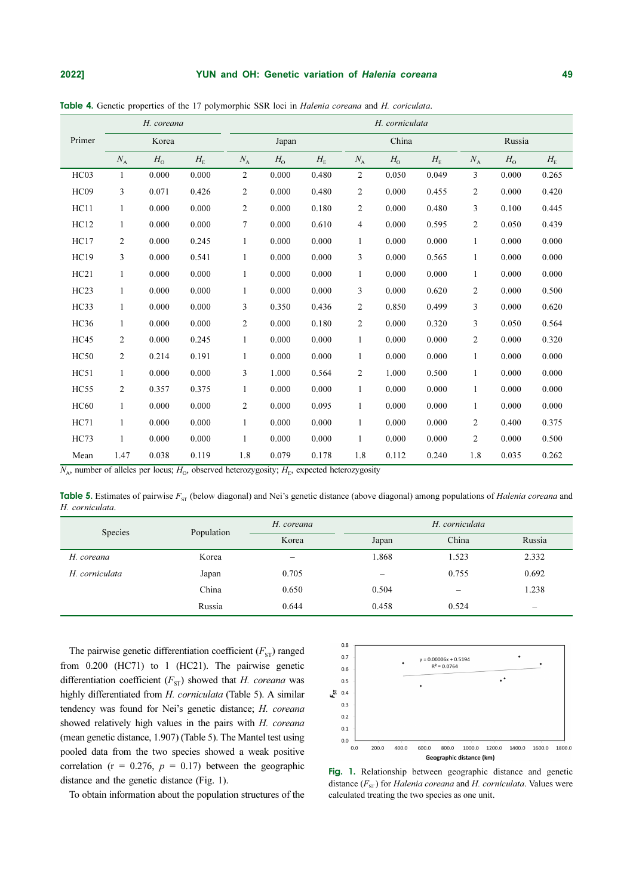#### 2022] **The State of VIVI and OH: Genetic variation of Halenia coreana** and the state of the 49

| 2022]<br>Table 4. Genetic properties of the 17 polymorphic SSR loci in Halenia coreana and H. coriculata.<br>$\Primer$                                                                                                                                                                                                                                                                                                                                   | H. coreana<br>Korea                                                                                                                                                                                                                                                                                                                                                                                                                                                          | YUN and OH: Genetic variation of Halenia coreana<br>Japan                                                                                                                                                                                                                                                                                                                                                                                                                        |                                                                                                                                                                                                                                               | H. corniculata<br>China                                                                                                                                                                                                                                                                                                                                                                                                                                                                                                               |                                                                                                                                                                                                                                                                                                                                                                                                                                                                                                                         | 49<br>${\rm Russia}$                                                                                                                                                                                                                                                                                                                                                                                                                                                                         |
|----------------------------------------------------------------------------------------------------------------------------------------------------------------------------------------------------------------------------------------------------------------------------------------------------------------------------------------------------------------------------------------------------------------------------------------------------------|------------------------------------------------------------------------------------------------------------------------------------------------------------------------------------------------------------------------------------------------------------------------------------------------------------------------------------------------------------------------------------------------------------------------------------------------------------------------------|----------------------------------------------------------------------------------------------------------------------------------------------------------------------------------------------------------------------------------------------------------------------------------------------------------------------------------------------------------------------------------------------------------------------------------------------------------------------------------|-----------------------------------------------------------------------------------------------------------------------------------------------------------------------------------------------------------------------------------------------|---------------------------------------------------------------------------------------------------------------------------------------------------------------------------------------------------------------------------------------------------------------------------------------------------------------------------------------------------------------------------------------------------------------------------------------------------------------------------------------------------------------------------------------|-------------------------------------------------------------------------------------------------------------------------------------------------------------------------------------------------------------------------------------------------------------------------------------------------------------------------------------------------------------------------------------------------------------------------------------------------------------------------------------------------------------------------|----------------------------------------------------------------------------------------------------------------------------------------------------------------------------------------------------------------------------------------------------------------------------------------------------------------------------------------------------------------------------------------------------------------------------------------------------------------------------------------------|
| $N_{\rm A}$<br>$HC03$<br>$\,1$<br>HC09<br>$\sqrt{3}$<br>HC11<br>$\,1$<br>$HC12$<br>$\mathbf{1}$<br>$HC17$<br>$\sqrt{2}$<br>HC19<br>$\mathfrak{Z}$<br>HC21<br>$\,1\,$<br>$\rm HC23$<br>$\,1\,$<br>HC33<br>$\,1$<br>$HC36$<br>$\,1$<br>$HC45$<br>$\sqrt{2}$<br>$HC50$<br>$\sqrt{2}$<br>HC51<br>$\,1$<br>$HC55$<br>$\sqrt{2}$<br>$\rm{HC}60$<br>$\mathbf{1}$<br>HC71<br>$\,1$<br>$HC73$<br>$\mathbf{1}$<br>${\it Mean}$<br>1.47                             | $H_{\rm o}$<br>$H_{\scriptscriptstyle\rm E}$<br>$0.000\,$<br>$0.000\,$<br>$0.071\,$<br>0.426<br>$0.000\,$<br>0.000<br>0.000<br>$0.000\,$<br>$0.000\,$<br>0.245<br>$0.000\,$<br>0.541<br>0.000<br>$0.000\,$<br>$0.000\,$<br>$0.000\,$<br>$0.000\,$<br>$0.000\,$<br>0.000<br>$0.000\,$<br>0.245<br>$0.000\,$<br>0.214<br>0.191<br>$0.000\,$<br>$0.000\,$<br>$0.357\,$<br>0.375<br>$0.000\,$<br>$0.000\,$<br>$0.000\,$<br>$0.000\,$<br>$0.000\,$<br>$0.000\,$<br>0.038<br>0.119 | $N_{\rm A}$<br>$H_{\rm o}$<br>$\sqrt{2}$<br>$0.000\,$<br>$\sqrt{2}$<br>$0.000\,$<br>$\sqrt{2}$<br>$0.000\,$<br>$\boldsymbol{7}$<br>$0.000\,$<br>$0.000\,$<br>$\,1$<br>$0.000\,$<br>$\,1$<br>$0.000\,$<br>$\,1$<br>$0.000\,$<br>$\,1\,$<br>$\sqrt{3}$<br>0.350<br>$0.000\,$<br>$\sqrt{2}$<br>$0.000\,$<br>$\,1$<br>$\,1$<br>$0.000\,$<br>$\sqrt{3}$<br>$1.000\,$<br>$\,1$<br>$0.000\,$<br>$\sqrt{2}$<br>$0.000\,$<br>$0.000\,$<br>$\,1$<br>$0.000\,$<br>$\,1$<br>$1.8\,$<br>0.079 | $H_{\rm E}$<br>$0.480\,$<br>$0.480\,$<br>$0.180\,$<br>$0.610\,$<br>$0.000\,$<br>$0.000\,$<br>$0.000\,$<br>$0.000\,$<br>$0.436\,$<br>$0.180\,$<br>$0.000\,$<br>$0.000\,$<br>0.564<br>$0.000\,$<br>0.095<br>$0.000\,$<br>$0.000\,$<br>$0.178\,$ | ${\cal H}_{\rm O}$<br>$N_{\rm A}$<br>$\sqrt{2}$<br>$0.050\,$<br>$\sqrt{2}$<br>$0.000\,$<br>$\sqrt{2}$<br>$0.000\,$<br>$\overline{4}$<br>$0.000\,$<br>$\,1$<br>$0.000\,$<br>$\ensuremath{\mathfrak{Z}}$<br>$0.000\,$<br>$\,1\,$<br>$0.000\,$<br>$\sqrt{3}$<br>$0.000\,$<br>$\sqrt{2}$<br>$0.850\,$<br>$\sqrt{2}$<br>$0.000\,$<br>$\,1\,$<br>$0.000\,$<br>$0.000\,$<br>$\,1\,$<br>$\sqrt{2}$<br>$1.000\,$<br>$\,1\,$<br>$0.000\,$<br>$0.000\,$<br>$\mathbf{1}$<br>$0.000\,$<br>$\,1\,$<br>$0.000\,$<br>$\mathbf{1}$<br>0.112<br>$1.8\,$ | $H_{\scriptscriptstyle\rm E}$<br>$N_{\rm A}$<br>$\mathfrak{Z}$<br>0.049<br>0.455<br>$\sqrt{2}$<br>$0.480\,$<br>$\ensuremath{\mathfrak{Z}}$<br>$\sqrt{2}$<br>0.595<br>$0.000\,$<br>$\,1\,$<br>0.565<br>$\,1\,$<br>$0.000\,$<br>$\,1\,$<br>$0.620\,$<br>$\sqrt{2}$<br>0.499<br>$\sqrt{3}$<br>$0.320\,$<br>$\sqrt{3}$<br>$0.000\,$<br>$\sqrt{2}$<br>$0.000\,$<br>$\,1\,$<br>$0.500\,$<br>$\,1\,$<br>$0.000\,$<br>$\,1\,$<br>$0.000\,$<br>$\,1\,$<br>$0.000\,$<br>$\sqrt{2}$<br>$0.000\,$<br>$\sqrt{2}$<br>0.240<br>$1.8\,$ | $H_{\scriptscriptstyle\rm E}$<br>$H_{\rm o}$<br>0.265<br>$0.000\,$<br>$0.000\,$<br>0.420<br>$0.100\,$<br>0.445<br>$0.050\,$<br>0.439<br>$0.000\,$<br>$0.000\,$<br>$0.000\,$<br>$0.000\,$<br>$0.000\,$<br>$0.000\,$<br>$0.000\,$<br>$0.500\,$<br>$0.000\,$<br>$0.620\,$<br>$0.050\,$<br>0.564<br>$0.000\,$<br>0.320<br>$0.000\,$<br>$0.000\,$<br>$0.000\,$<br>$0.000\,$<br>$0.000\,$<br>$0.000\,$<br>$0.000\,$<br>$0.000\,$<br>$0.400\,$<br>0.375<br>$0.000\,$<br>$0.500\,$<br>0.035<br>0.262 |
| $N_A$ , number of alleles per locus; $H_0$ , observed heterozygosity; $H_E$ , expected heterozygosity<br>Table 5. Estimates of pairwise $F_{ST}$ (below diagonal) and Nei's genetic distance (above diagonal) among populations of <i>Halenia coreana</i> and<br>H. corniculata.<br>Species<br>H. coreana<br>H. corniculata<br>The pairwise genetic differentiation coefficient $(F_{ST})$ ranged<br>from 0.200 (HC71) to 1 (HC21). The pairwise genetic | Population<br>Korea<br>Japan<br>China<br>${\rm Russia}$<br>differentiation coefficient $(F_{ST})$ showed that <i>H. coreana</i> was                                                                                                                                                                                                                                                                                                                                          | H. coreana<br>Korea<br>$\qquad \qquad -$<br>0.705<br>$0.650\,$<br>0.644                                                                                                                                                                                                                                                                                                                                                                                                          | $0.8\,$<br>0.7<br>$0.6\,$                                                                                                                                                                                                                     | Japan<br>1.868<br>0.504<br>0.458                                                                                                                                                                                                                                                                                                                                                                                                                                                                                                      | H. corniculata<br>China<br>1.523<br>0.755<br>0.524<br>$y = 0.00006x + 0.5194$<br>$R^2 = 0.0764$                                                                                                                                                                                                                                                                                                                                                                                                                         | ${\rm Russia}$<br>2.332<br>0.692<br>1.238<br>$\equiv$<br>$\bullet$<br>$\bullet$<br>$\scriptstyle\bullet$ $\scriptstyle\bullet$                                                                                                                                                                                                                                                                                                                                                               |

Table 4. Genetic properties of the 17 polymorphic SSR loci in Halenia coreana and H. coriculata.

Table 5. Estimates of pairwise  $F_{ST}$  (below diagonal) and Nei's genetic distance (above diagonal) among populations of *Halenia coreana* and H. corniculata.

| Species        | Population | H. coreana | H. corniculata |       |                          |  |
|----------------|------------|------------|----------------|-------|--------------------------|--|
|                |            | Korea      | Japan          | China | Russia                   |  |
| H. coreana     | Korea      |            | 1.868          | 1.523 | 2.332                    |  |
| H. corniculata | Japan      | 0.705      |                | 0.755 | 0.692                    |  |
|                | China      | 0.650      | 0.504          | —     | 1.238                    |  |
|                | Russia     | 0.644      | 0.458          | 0.524 | $\overline{\phantom{0}}$ |  |

The pairwise genetic differentiation coefficient  $(F_{ST})$  ranged from 0.200 (HC71) to 1 (HC21). The pairwise genetic differentiation coefficient  $(F_{ST})$  showed that H. coreana was highly differentiated from H. corniculata (Table 5). A similar tendency was found for Nei's genetic distance; H. coreana showed relatively high values in the pairs with H. coreana (mean genetic distance, 1.907) (Table 5). The Mantel test using pooled data from the two species showed a weak positive correlation ( $r = 0.276$ ,  $p = 0.17$ ) between the geographic distance and the genetic distance (Fig. 1).

To obtain information about the population structures of the



Fig. 1. Relationship between geographic distance and genetic distance  $(F_{ST})$  for Halenia coreana and H. corniculata. Values were calculated treating the two species as one unit.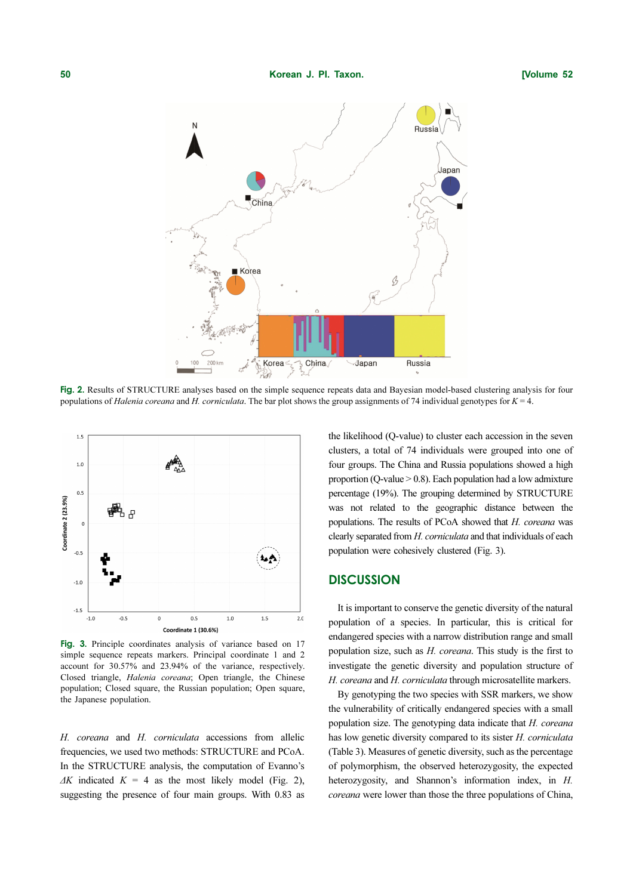

Fig. 2. Results of STRUCTURE analyses based on the simple sequence repeats data and Bayesian model-based clustering analysis for four populations of Halenia coreana and H. corniculata. The bar plot shows the group assignments of 74 individual genotypes for  $K = 4$ .



Fig. 3. Principle coordinates analysis of variance based on 17 simple sequence repeats markers. Principal coordinate 1 and 2 account for 30.57% and 23.94% of the variance, respectively. Closed triangle, Halenia coreana; Open triangle, the Chinese population; Closed square, the Russian population; Open square, the Japanese population.

H. coreana and H. corniculata accessions from allelic frequencies, we used two methods: STRUCTURE and PCoA. In the STRUCTURE analysis, the computation of Evanno's  $\Delta K$  indicated  $K = 4$  as the most likely model (Fig. 2), suggesting the presence of four main groups. With 0.83 as the likelihood (Q-value) to cluster each accession in the seven clusters, a total of 74 individuals were grouped into one of four groups. The China and Russia populations showed a high proportion (Q-value  $> 0.8$ ). Each population had a low admixture percentage (19%). The grouping determined by STRUCTURE was not related to the geographic distance between the populations. The results of PCoA showed that H. coreana was clearly separated from H. corniculata and that individuals of each population were cohesively clustered (Fig. 3).

# **DISCUSSION**

It is important to conserve the genetic diversity of the natural population of a species. In particular, this is critical for endangered species with a narrow distribution range and small population size, such as H. coreana. This study is the first to investigate the genetic diversity and population structure of H. coreana and H. corniculata through microsatellite markers.

By genotyping the two species with SSR markers, we show the vulnerability of critically endangered species with a small population size. The genotyping data indicate that H. coreana has low genetic diversity compared to its sister H. corniculata (Table 3). Measures of genetic diversity, such as the percentage of polymorphism, the observed heterozygosity, the expected heterozygosity, and Shannon's information index, in H. coreana were lower than those the three populations of China,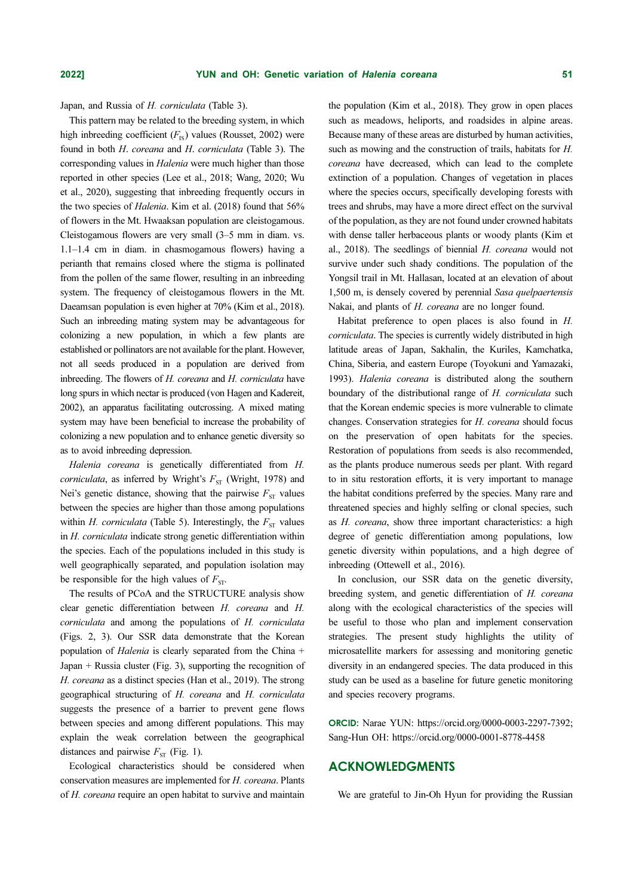Japan, and Russia of H. corniculata (Table 3).

**2022] YUN and OH: Genetic**<br>Japan, and Russia of *H. corniculata* (Table 3).<br>This pattern may be related to the breeding system, in which<br>high inbreeding coefficient  $(F_{1s})$  values (Rousset, 2002) were **2022] COMB CONDITY CONDITY CONDITY CONDITY CONDITY CONDITY** (Table 3). This pattern may be related to the breeding system, in which high inhereding coefficient  $(F_{is})$  values (Rousset, 2002) were found in bo **2022] YUN and OH: Genetic**<br> **Examplementary be related to the breeding system, in which<br>
high inbreeding coefficient (** $F_n$ **) values (Rousset, 2002) were<br>
found in both H. correnana and H. corriculana (Table 3). The<br>
fou 2022] YUN and OH: Genetic**<br>
Tapan, and Russia of *H. corniculata* (Table 3).<br>
This pattern may be related to the breeding system, in which<br>
This pattern may be related to the breeding system, in which<br>
thigh infveredin **2022]** YUN ar<br> **2022]** YUN ar<br> **1** Japan, and Russia of *H. corriculata* (Tab<br>
This pattern may be related to the breeding<br>
the inhereding coefficient  $(F_{\rm s})$  values (R<br>
found in both *H. coreana* and *H. corricu*<br>
corr **2022] C**<br>**2022] C**<br>**Example 11 C**<br>**Example 1 C**<br>**Example 1 C C**<br>**Example 1 C C**<br>**Example 1 C C C**<br>**Example 1 C C**<br>**Example 1 C C**<br>**C C**<br>**C C C C C C C C C C**<br>**C C C** This pattern may be related to the breeding system, in which high inbreeding coefficient  $(F_{1S})$  values (Rousset, 2002) were found in both H. coreana and H. corniculata (Table 3). The corresponding values in Halenia were much higher than those reported in other species (Lee et al., 2018; Wang, 2020; Wu et al., 2020), suggesting that inbreeding frequently occurs in the two species of *Halenia*. Kim et al. (2018) found that 56% of flowers in the Mt. Hwaaksan population are cleistogamous. Cleistogamous flowers are very small (3–5 mm in diam. vs. 1.1–1.4 cm in diam. in chasmogamous flowers) having a perianth that remains closed where the stigma is pollinated from the pollen of the same flower, resulting in an inbreeding system. The frequency of cleistogamous flowers in the Mt. Daeamsan population is even higher at 70% (Kim et al., 2018). Such an inbreeding mating system may be advantageous for colonizing a new population, in which a few plants are established or pollinators are not available for the plant. However, not all seeds produced in a population are derived from inbreeding. The flowers of H. coreana and H. corniculata have long spurs in which nectar is produced (von Hagen and Kadereit, 2002), an apparatus facilitating outcrossing. A mixed mating system may have been beneficial to increase the probability of colonizing a new population and to enhance genetic diversity so as to avoid inbreeding depression.

Halenia coreana is genetically differentiated from H. corniculata, as inferred by Wright's  $F_{ST}$  (Wright, 1978) and Nei's genetic distance, showing that the pairwise  $F_{ST}$  values between the species are higher than those among populations within *H. corniculata* (Table 5). Interestingly, the  $F_{ST}$  values in H. corniculata indicate strong genetic differentiation within the species. Each of the populations included in this study is well geographically separated, and population isolation may be responsible for the high values of  $F_{\rm cr}$ .

The results of PCoA and the STRUCTURE analysis show clear genetic differentiation between H. coreana and H. corniculata and among the populations of H. corniculata (Figs. 2, 3). Our SSR data demonstrate that the Korean population of Halenia is clearly separated from the China + Japan + Russia cluster (Fig. 3), supporting the recognition of H. coreana as a distinct species (Han et al., 2019). The strong geographical structuring of H. coreana and H. corniculata suggests the presence of a barrier to prevent gene flows between species and among different populations. This may explain the weak correlation between the geographical distances and pairwise  $F_{ST}$  (Fig. 1).

Ecological characteristics should be considered when conservation measures are implemented for H. coreana. Plants of H. coreana require an open habitat to survive and maintain the population (Kim et al., 2018). They grow in open places such as meadows, heliports, and roadsides in alpine areas. Because many of these areas are disturbed by human activities, such as mowing and the construction of trails, habitats for H. coreana have decreased, which can lead to the complete extinction of a population. Changes of vegetation in places where the species occurs, specifically developing forests with trees and shrubs, may have a more direct effect on the survival of the population, as they are not found under crowned habitats with dense taller herbaceous plants or woody plants (Kim et al., 2018). The seedlings of biennial H. coreana would not survive under such shady conditions. The population of the Yongsil trail in Mt. Hallasan, located at an elevation of about 1,500 m, is densely covered by perennial Sasa quelpaertensis Nakai, and plants of H. coreana are no longer found.

Habitat preference to open places is also found in H. corniculata. The species is currently widely distributed in high latitude areas of Japan, Sakhalin, the Kuriles, Kamchatka, China, Siberia, and eastern Europe (Toyokuni and Yamazaki, 1993). Halenia coreana is distributed along the southern boundary of the distributional range of H. corniculata such that the Korean endemic species is more vulnerable to climate changes. Conservation strategies for H. coreana should focus on the preservation of open habitats for the species. Restoration of populations from seeds is also recommended, as the plants produce numerous seeds per plant. With regard to in situ restoration efforts, it is very important to manage the habitat conditions preferred by the species. Many rare and threatened species and highly selfing or clonal species, such as H. coreana, show three important characteristics: a high degree of genetic differentiation among populations, low genetic diversity within populations, and a high degree of inbreeding (Ottewell et al., 2016).

In conclusion, our SSR data on the genetic diversity, breeding system, and genetic differentiation of H. coreana along with the ecological characteristics of the species will be useful to those who plan and implement conservation strategies. The present study highlights the utility of microsatellite markers for assessing and monitoring genetic diversity in an endangered species. The data produced in this study can be used as a baseline for future genetic monitoring and species recovery programs.

ORCID: Narae YUN: https://orcid.org/0000-0003-2297-7392; Sang-Hun OH: https://orcid.org/0000-0001-8778-4458

### ACKNOWLEDGMENTS

We are grateful to Jin-Oh Hyun for providing the Russian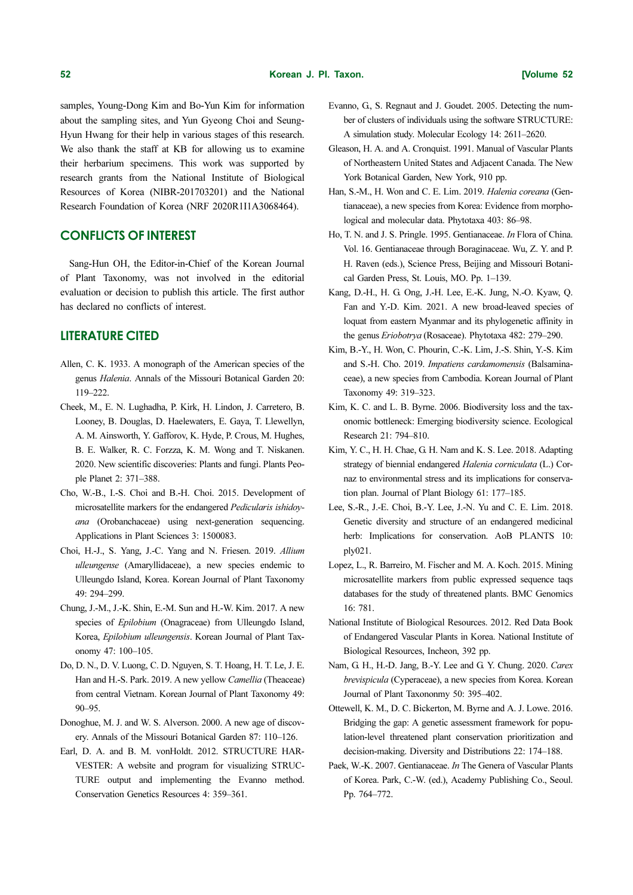samples, Young-Dong Kim and Bo-Yun Kim for information about the sampling sites, and Yun Gyeong Choi and Seung-Hyun Hwang for their help in various stages of this research. We also thank the staff at KB for allowing us to examine their herbarium specimens. This work was supported by research grants from the National Institute of Biological Resources of Korea (NIBR-201703201) and the National Research Foundation of Korea (NRF 2020R1I1A3068464).

# CONFLICTS OF INTEREST

Sang-Hun OH, the Editor-in-Chief of the Korean Journal of Plant Taxonomy, was not involved in the editorial evaluation or decision to publish this article. The first author has declared no conflicts of interest.

# LITERATURE CITED

- Allen, C. K. 1933. A monograph of the American species of the genus Halenia. Annals of the Missouri Botanical Garden 20: 119–222.
- Cheek, M., E. N. Lughadha, P. Kirk, H. Lindon, J. Carretero, B. Looney, B. Douglas, D. Haelewaters, E. Gaya, T. Llewellyn, A. M. Ainsworth, Y. Gafforov, K. Hyde, P. Crous, M. Hughes, B. E. Walker, R. C. Forzza, K. M. Wong and T. Niskanen. 2020. New scientific discoveries: Plants and fungi. Plants People Planet 2: 371–388.
- Cho, W.-B., I.-S. Choi and B.-H. Choi. 2015. Development of microsatellite markers for the endangered Pedicularis ishidoyana (Orobanchaceae) using next-generation sequencing. Applications in Plant Sciences 3: 1500083.
- Choi, H.-J., S. Yang, J.-C. Yang and N. Friesen. 2019. Allium ulleungense (Amaryllidaceae), a new species endemic to Ulleungdo Island, Korea. Korean Journal of Plant Taxonomy 49: 294–299.
- Chung, J.-M., J.-K. Shin, E.-M. Sun and H.-W. Kim. 2017. A new species of *Epilobium* (Onagraceae) from Ulleungdo Island, Korea, Epilobium ulleungensis. Korean Journal of Plant Taxonomy 47: 100–105.
- Do, D. N., D. V. Luong, C. D. Nguyen, S. T. Hoang, H. T. Le, J. E. Han and H.-S. Park. 2019. A new yellow Camellia (Theaceae) from central Vietnam. Korean Journal of Plant Taxonomy 49: 90–95.
- Donoghue, M. J. and W. S. Alverson. 2000. A new age of discovery. Annals of the Missouri Botanical Garden 87: 110–126.
- Earl, D. A. and B. M. vonHoldt. 2012. STRUCTURE HAR-VESTER: A website and program for visualizing STRUC-TURE output and implementing the Evanno method. Conservation Genetics Resources 4: 359–361.
- Evanno, G., S. Regnaut and J. Goudet. 2005. Detecting the number of clusters of individuals using the software STRUCTURE: A simulation study. Molecular Ecology 14: 2611–2620.
- Gleason, H. A. and A. Cronquist. 1991. Manual of Vascular Plants of Northeastern United States and Adjacent Canada. The New York Botanical Garden, New York, 910 pp.
- Han, S.-M., H. Won and C. E. Lim. 2019. Halenia coreana (Gentianaceae), a new species from Korea: Evidence from morphological and molecular data. Phytotaxa 403: 86–98.
- Ho, T. N. and J. S. Pringle. 1995. Gentianaceae. In Flora of China. Vol. 16. Gentianaceae through Boraginaceae. Wu, Z. Y. and P. H. Raven (eds.), Science Press, Beijing and Missouri Botanical Garden Press, St. Louis, MO. Pp. 1–139.
- Kang, D.-H., H. G. Ong, J.-H. Lee, E.-K. Jung, N.-O. Kyaw, Q. Fan and Y.-D. Kim. 2021. A new broad-leaved species of loquat from eastern Myanmar and its phylogenetic affinity in the genus Eriobotrya (Rosaceae). Phytotaxa 482: 279–290.
- Kim, B.-Y., H. Won, C. Phourin, C.-K. Lim, J.-S. Shin, Y.-S. Kim and S.-H. Cho. 2019. Impatiens cardamomensis (Balsaminaceae), a new species from Cambodia. Korean Journal of Plant Taxonomy 49: 319–323.
- Kim, K. C. and L. B. Byrne. 2006. Biodiversity loss and the taxonomic bottleneck: Emerging biodiversity science. Ecological Research 21: 794–810.
- Kim, Y. C., H. H. Chae, G. H. Nam and K. S. Lee. 2018. Adapting strategy of biennial endangered Halenia corniculata (L.) Cornaz to environmental stress and its implications for conservation plan. Journal of Plant Biology 61: 177–185.
- Lee, S.-R., J.-E. Choi, B.-Y. Lee, J.-N. Yu and C. E. Lim. 2018. Genetic diversity and structure of an endangered medicinal herb: Implications for conservation. AoB PLANTS 10: ply021.
- Lopez, L., R. Barreiro, M. Fischer and M. A. Koch. 2015. Mining microsatellite markers from public expressed sequence taqs databases for the study of threatened plants. BMC Genomics 16: 781.
- National Institute of Biological Resources. 2012. Red Data Book of Endangered Vascular Plants in Korea. National Institute of Biological Resources, Incheon, 392 pp.
- Nam, G. H., H.-D. Jang, B.-Y. Lee and G. Y. Chung. 2020. Carex brevispicula (Cyperaceae), a new species from Korea. Korean Journal of Plant Taxononmy 50: 395–402.
- Ottewell, K. M., D. C. Bickerton, M. Byrne and A. J. Lowe. 2016. Bridging the gap: A genetic assessment framework for population-level threatened plant conservation prioritization and decision-making. Diversity and Distributions 22: 174–188.
- Paek, W.-K. 2007. Gentianaceae. *In* The Genera of Vascular Plants of Korea. Park, C.-W. (ed.), Academy Publishing Co., Seoul. Pp. 764–772.